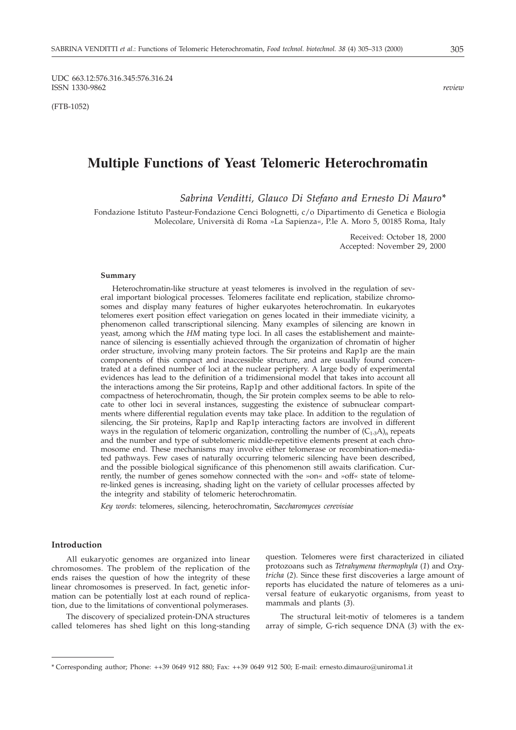UDC 663.12:576.316.345:576.316.24 ISSN 1330-9862 *review*

(FTB-1052)

# **Multiple Functions of Yeast Telomeric Heterochromatin**

*Sabrina Venditti, Glauco Di Stefano and Ernesto Di Mauro\**

Fondazione Istituto Pasteur-Fondazione Cenci Bolognetti, c/o Dipartimento di Genetica e Biologia Molecolare, Università di Roma »La Sapienza«, P.le A. Moro 5, 00185 Roma, Italy

> Received: October 18, 2000 Accepted: November 29, 2000

#### **Summary**

Heterochromatin-like structure at yeast telomeres is involved in the regulation of several important biological processes. Telomeres facilitate end replication, stabilize chromosomes and display many features of higher eukaryotes heterochromatin. In eukaryotes telomeres exert position effect variegation on genes located in their immediate vicinity, a phenomenon called transcriptional silencing. Many examples of silencing are known in yeast, among which the *HM* mating type loci. In all cases the establishement and maintenance of silencing is essentially achieved through the organization of chromatin of higher order structure, involving many protein factors. The Sir proteins and Rap1p are the main components of this compact and inaccessible structure, and are usually found concentrated at a defined number of loci at the nuclear periphery. A large body of experimental evidences has lead to the definition of a tridimensional model that takes into account all the interactions among the Sir proteins, Rap1p and other additional factors. In spite of the compactness of heterochromatin, though, the Sir protein complex seems to be able to relocate to other loci in several instances, suggesting the existence of subnuclear compartments where differential regulation events may take place. In addition to the regulation of silencing, the Sir proteins, Rap1p and Rap1p interacting factors are involved in different ways in the regulation of telomeric organization, controlling the number of  $(C_{1\cdot3}A)$ <sub>n</sub> repeats and the number and type of subtelomeric middle-repetitive elements present at each chromosome end. These mechanisms may involve either telomerase or recombination-mediated pathways. Few cases of naturally occurring telomeric silencing have been described, and the possible biological significance of this phenomenon still awaits clarification. Currently, the number of genes somehow connected with the »on« and »off« state of telomere-linked genes is increasing, shading light on the variety of cellular processes affected by the integrity and stability of telomeric heterochromatin.

*Key words*: telomeres, silencing, heterochromatin, S*accharomyces cerevisiae*

#### **Introduction**

All eukaryotic genomes are organized into linear chromosomes. The problem of the replication of the ends raises the question of how the integrity of these linear chromosomes is preserved. In fact, genetic information can be potentially lost at each round of replication, due to the limitations of conventional polymerases.

The discovery of specialized protein-DNA structures called telomeres has shed light on this long-standing question. Telomeres were first characterized in ciliated protozoans such as *Tetrahymena thermophyla* (*1*) and *Oxytricha* (*2*). Since these first discoveries a large amount of reports has elucidated the nature of telomeres as a universal feature of eukaryotic organisms, from yeast to mammals and plants (*3*).

The structural leit-motiv of telomeres is a tandem array of simple, G-rich sequence DNA (*3*) with the ex-

<sup>\*</sup> Corresponding author; Phone: ++39 0649 912 880; Fax: ++39 0649 912 500; E-mail: ernesto.dimauro@uniroma1.it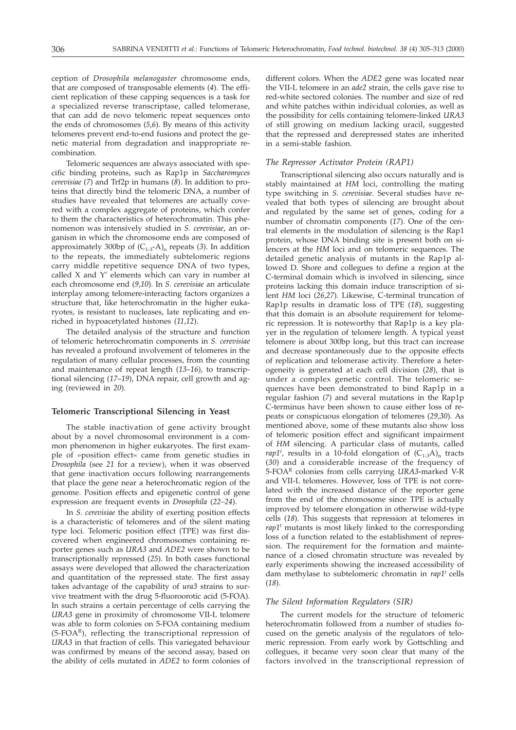ception of *Drosophila melanogaster* chromosome ends, that are composed of transposable elements (*4*). The efficient replication of these capping sequences is a task for a specialized reverse transcriptase, called telomerase, that can add de novo telomeric repeat sequences onto the ends of chromosomes (*5*,*6*). By means of this activity telomeres prevent end-to-end fusions and protect the genetic material from degradation and inappropriate recombination.

Telomeric sequences are always associated with specific binding proteins, such as Rap1p in *Saccharomyces cerevisiae* (*7*) and Trf2p in humans (*8*). In addition to proteins that directly bind the telomeric DNA, a number of studies have revealed that telomeres are actually covered with a complex aggregate of proteins, which confer to them the characteristics of heterochromatin. This phenomenon was intensively studied in *S. cerevisiae*, an organism in which the chromosome ends are composed of approximately 300bp of  $(C_{1\text{-}3} - A)$ <sub>n</sub> repeats (3). In addition to the repeats, the immediately subtelomeric regions carry middle repetitive sequence DNA of two types, called X and Y' elements which can vary in number at each chromosome end (*9*,*10*). In *S. cerevisiae* an articulate interplay among telomere-interacting factors organizes a structure that, like heterochromatin in the higher eukaryotes, is resistant to nucleases, late replicating and enriched in hypoacetylated histones (*11*,*12*).

The detailed analysis of the structure and function of telomeric heterochromatin components in *S. cerevisiae* has revealed a profound involvement of telomeres in the regulation of many cellular processes, from the counting and maintenance of repeat length (*13*–*16*), to transcriptional silencing (*17*–*19*), DNA repair, cell growth and aging (reviewed in *20*).

## **Telomeric Transcriptional Silencing in Yeast**

The stable inactivation of gene activity brought about by a novel chromosomal environment is a common phenomenon in higher eukaryotes. The first example of »position effect« came from genetic studies in *Drosophila* (see *21* for a review), when it was observed that gene inactivation occurs following rearrangements that place the gene near a heterochromatic region of the genome. Position effects and epigenetic control of gene expression are frequent events in *Drosophila* (*22–24*).

In *S. cerevisiae* the ability of exerting position effects is a characteristic of telomeres and of the silent mating type loci. Telomeric position effect (TPE) was first discovered when engineered chromosomes containing reporter genes such as *URA3* and *ADE2* were shown to be transcriptionally repressed (*25*). In both cases functional assays were developed that allowed the characterization and quantitation of the repressed state. The first assay takes advantage of the capability of *ura3* strains to survive treatment with the drug 5-fluoroorotic acid (5-FOA). In such strains a certain percentage of cells carrying the *URA3* gene in proximity of chromosome VII-L telomere was able to form colonies on 5-FOA containing medium (5-FOAR), reflecting the transcriptional repression of *URA3* in that fraction of cells. This variegated behaviour was confirmed by means of the second assay, based on the ability of cells mutated in *ADE2* to form colonies of

different colors. When the *ADE2* gene was located near the VII-L telomere in an *ade2* strain, the cells gave rise to red-white sectored colonies. The number and size of red and white patches within individual colonies, as well as the possibility for cells containing telomere-linked *URA3* of still growing on medium lacking uracil, suggested that the repressed and derepressed states are inherited in a semi-stable fashion.

#### *The Repressor Activator Protein (RAP1)*

Transcriptional silencing also occurs naturally and is stably maintained at *HM* loci, controlling the mating type switching in *S. cerevisiae*. Several studies have revealed that both types of silencing are brought about and regulated by the same set of genes, coding for a number of chromatin components (*17*). One of the central elements in the modulation of silencing is the Rap1 protein, whose DNA binding site is present both on silencers at the *HM* loci and on telomeric sequences. The detailed genetic analysis of mutants in the Rap1p allowed D. Shore and collegues to define a region at the C-terminal domain which is involved in silencing, since proteins lacking this domain induce transcription of silent *HM* loci (*26*,*27*). Likewise, C-terminal truncation of Rap1p results in dramatic loss of TPE (*18*), suggesting that this domain is an absolute requirement for telomeric repression. It is noteworthy that Rap1p is a key player in the regulation of telomere length. A typical yeast telomere is about 300bp long, but this tract can increase and decrease spontaneously due to the opposite effects of replication and telomerase activity. Therefore a heterogeneity is generated at each cell division (*28*), that is under a complex genetic control. The telomeric sequences have been demonstrated to bind Rap1p in a regular fashion (*7*) and several mutations in the Rap1p C-terminus have been shown to cause either loss of repeats or conspicuous elongation of telomeres (*29*,*30*). As mentioned above, some of these mutants also show loss of telomeric position effect and significant impairment of *HM* silencing. A particular class of mutants, called *rap1<sup>t</sup>*, results in a 10-fold elongation of  $(C_{1\text{-}3}A)_{n}$  tracts (*30*) and a considerable increase of the frequency of 5-FOAR colonies from cells carrying *URA3*-marked V-R and VII-L telomeres. However, loss of TPE is not correlated with the increased distance of the reporter gene from the end of the chromosome since TPE is actually improved by telomere elongation in otherwise wild-type cells (*18*). This suggests that repression at telomeres in *rap1t* mutants is most likely linked to the corresponding loss of a function related to the establishment of repression. The requirement for the formation and maintenance of a closed chromatin structure was revealed by early experiments showing the increased accessibility of dam methylase to subtelomeric chromatin in *rap1t* cells (*18*).

#### *The Silent Information Regulators (SIR)*

The current models for the structure of telomeric heterochromatin followed from a number of studies focused on the genetic analysis of the regulators of telomeric repression. From early work by Gottschling and collegues, it became very soon clear that many of the factors involved in the transcriptional repression of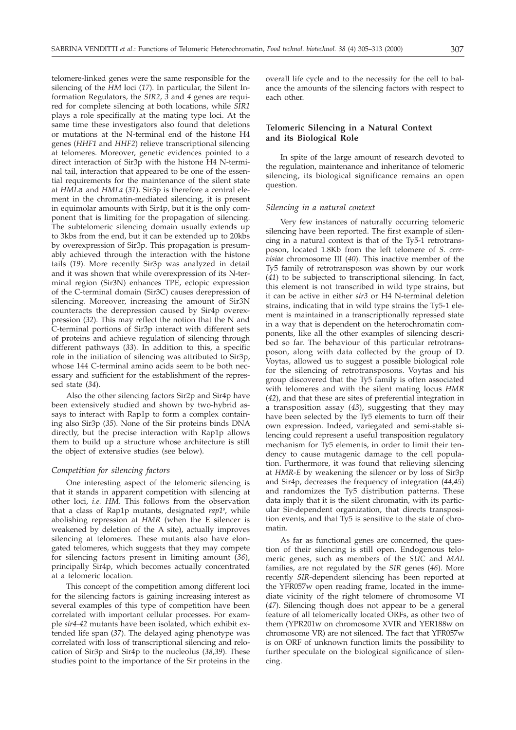telomere-linked genes were the same responsible for the silencing of the *HM* loci (*17*). In particular, the Silent Information Regulators, the *SIR2*, *3* and *4* genes are required for complete silencing at both locations, while *SIR1* plays a role specifically at the mating type loci. At the same time these investigators also found that deletions or mutations at the N-terminal end of the histone H4 genes (*HHF1* and *HHF2*) relieve transcriptional silencing at telomeres. Moreover, genetic evidences pointed to a direct interaction of Sir3p with the histone H4 N-terminal tail, interaction that appeared to be one of the essential requirements for the maintenance of the silent state at *HML* and *HMLa* (*31*). Sir3p is therefore a central element in the chromatin-mediated silencing, it is present in equimolar amounts with Sir4p, but it is the only component that is limiting for the propagation of silencing. The subtelomeric silencing domain usually extends up to 3kbs from the end, but it can be extended up to 20kbs by overexpression of Sir3p. This propagation is presumably achieved through the interaction with the histone tails (*19*). More recently Sir3p was analyzed in detail and it was shown that while overexpression of its N-terminal region (Sir3N) enhances TPE, ectopic expression of the C-terminal domain (Sir3C) causes derepression of silencing. Moreover, increasing the amount of Sir3N counteracts the derepression caused by Sir4p overexpression (*32*). This may reflect the notion that the N and C-terminal portions of Sir3p interact with different sets of proteins and achieve regulation of silencing through different pathways (*33*). In addition to this, a specific role in the initiation of silencing was attributed to Sir3p, whose 144 C-terminal amino acids seem to be both necessary and sufficient for the establishment of the repressed state (*34*).

Also the other silencing factors Sir2p and Sir4p have been extensively studied and shown by two-hybrid assays to interact with Rap1p to form a complex containing also Sir3p (*35*). None of the Sir proteins binds DNA directly, but the precise interaction with Rap1p allows them to build up a structure whose architecture is still the object of extensive studies (see below).

#### *Competition for silencing factors*

One interesting aspect of the telomeric silencing is that it stands in apparent competition with silencing at other loci, *i.e. HM*. This follows from the observation that a class of Rap1p mutants, designated *rap1s* , while abolishing repression at *HMR* (when the E silencer is weakened by deletion of the A site), actually improves silencing at telomeres. These mutants also have elongated telomeres, which suggests that they may compete for silencing factors present in limiting amount (*36*), principally Sir4p, which becomes actually concentrated at a telomeric location.

This concept of the competition among different loci for the silencing factors is gaining increasing interest as several examples of this type of competition have been correlated with important cellular processes. For example *sir4-42* mutants have been isolated, which exhibit extended life span (*37*). The delayed aging phenotype was correlated with loss of transcriptional silencing and relocation of Sir3p and Sir4p to the nucleolus (*38*,*39*). These studies point to the importance of the Sir proteins in the

overall life cycle and to the necessity for the cell to balance the amounts of the silencing factors with respect to each other.

## **Telomeric Silencing in a Natural Context and its Biological Role**

In spite of the large amount of research devoted to the regulation, maintenance and inheritance of telomeric silencing, its biological significance remains an open question.

#### *Silencing in a natural context*

Very few instances of naturally occurring telomeric silencing have been reported. The first example of silencing in a natural context is that of the Ty5-1 retrotransposon, located 1.8Kb from the left telomere of *S. cerevisiae* chromosome III (*40*). This inactive member of the Ty5 family of retrotransposon was shown by our work (*41*) to be subjected to transcriptional silencing. In fact, this element is not transcribed in wild type strains, but it can be active in either *sir3* or H4 N-terminal deletion strains, indicating that in wild type strains the Ty5-1 element is maintained in a transcriptionally repressed state in a way that is dependent on the heterochromatin components, like all the other examples of silencing described so far. The behaviour of this particular retrotransposon, along with data collected by the group of D. Voytas, allowed us to suggest a possible biological role for the silencing of retrotransposons. Voytas and his group discovered that the Ty5 family is often associated with telomeres and with the silent mating locus *HMR* (*42*), and that these are sites of preferential integration in a transposition assay (*43*), suggesting that they may have been selected by the Ty5 elements to turn off their own expression. Indeed, variegated and semi-stable silencing could represent a useful transposition regulatory mechanism for Ty5 elements, in order to limit their tendency to cause mutagenic damage to the cell population. Furthermore, it was found that relieving silencing at *HMR-E* by weakening the silencer or by loss of Sir3p and Sir4p, decreases the frequency of integration (*44*,*45*) and randomizes the Ty5 distribution patterns. These data imply that it is the silent chromatin, with its particular Sir-dependent organization, that directs transposition events, and that Ty5 is sensitive to the state of chromatin.

As far as functional genes are concerned, the question of their silencing is still open. Endogenous telomeric genes, such as members of the *SUC* and *MAL* families, are not regulated by the *SIR* genes (*46*). More recently *SIR*-dependent silencing has been reported at the YFR057w open reading frame, located in the immediate vicinity of the right telomere of chromosome VI (*47*). Silencing though does not appear to be a general feature of all telomerically located ORFs, as other two of them (YPR201w on chromosome XVIR and YER188w on chromosome VR) are not silenced. The fact that YFR057w is on ORF of unknown function limits the possibility to further speculate on the biological significance of silencing.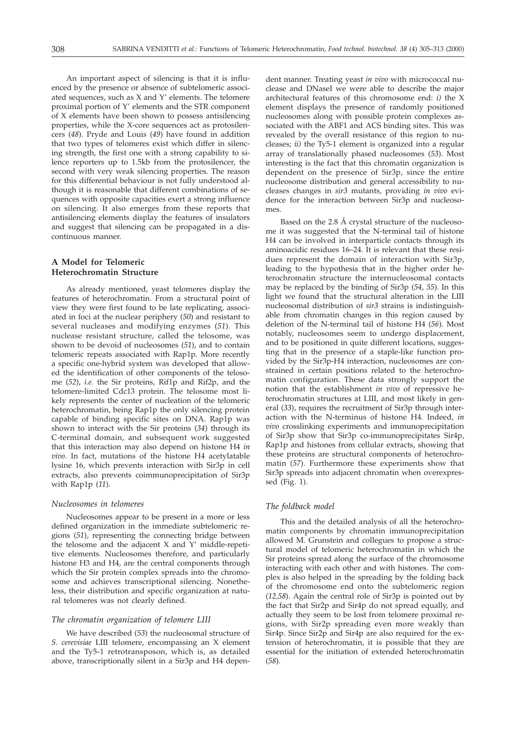An important aspect of silencing is that it is influenced by the presence or absence of subtelomeric associated sequences, such as X and Y' elements. The telomere proximal portion of Y' elements and the STR component of X elements have been shown to possess antisilencing properties, while the X-core sequences act as protosilencers (*48*). Pryde and Louis (*49*) have found in addition that two types of telomeres exist which differ in silencing strength, the first one with a strong capability to silence reporters up to 1.5kb from the protosilencer, the second with very weak silencing properties. The reason for this differential behaviour is not fully understood although it is reasonable that different combinations of sequences with opposite capacities exert a strong influence on silencing. It also emerges from these reports that antisilencing elements display the features of insulators and suggest that silencing can be propagated in a discontinuous manner.

# **A Model for Telomeric Heterochromatin Structure**

As already mentioned, yeast telomeres display the features of heterochromatin. From a structural point of view they were first found to be late replicating, associated in foci at the nuclear periphery (*50*) and resistant to several nucleases and modifying enzymes (*51*). This nuclease resistant structure, called the telosome, was shown to be devoid of nucleosomes (*51*), and to contain telomeric repeats associated with Rap1p. More recently a specific one-hybrid system was developed that allowed the identification of other components of the telosome (*52*), *i.e.* the Sir proteins, Rif1p and Rif2p, and the telomere-limited Cdc13 protein. The telosome most likely represents the center of nucleation of the telomeric heterochromatin, being Rap1p the only silencing protein capable of binding specific sites on DNA. Rap1p was shown to interact with the Sir proteins (*34*) through its C-terminal domain, and subsequent work suggested that this interaction may also depend on histone H4 *in vivo.* In fact, mutations of the histone H4 acetylatable lysine 16, which prevents interaction with Sir3p in cell extracts, also prevents coimmunoprecipitation of Sir3p with Rap1p (*11*).

## *Nucleosomes in telomeres*

Nucleosomes appear to be present in a more or less defined organization in the immediate subtelomeric regions (*51*), representing the connecting bridge between the telosome and the adjacent X and Y' middle-repetitive elements. Nucleosomes therefore, and particularly histone H3 and H4, are the central components through which the Sir protein complex spreads into the chromosome and achieves transcriptional silencing. Nonetheless, their distribution and specific organization at natural telomeres was not clearly defined.

## *The chromatin organization of telomere LIII*

We have described (*53*) the nucleosomal structure of *S. cerevisiae* LIII telomere, encompassing an X element and the Ty5-1 retrotransposon, which is, as detailed above, transcriptionally silent in a Sir3p and H4 dependent manner. Treating yeast *in vivo* with micrococcal nuclease and DNaseI we were able to describe the major architectural features of this chromosome end: *i)* the X element displays the presence of randomly positioned nucleosomes along with possible protein complexes associated with the ABF1 and ACS binding sites. This was revealed by the overall resistance of this region to nucleases; *ii)* the Ty5-1 element is organized into a regular array of translationally phased nucleosomes (*53*). Most interesting is the fact that this chromatin organization is dependent on the presence of Sir3p, since the entire nucleosome distribution and general accessibility to nucleases changes in *sir3* mutants, providing *in vivo* evidence for the interaction between Sir3p and nucleosomes.

Based on the 2.8 Å crystal structure of the nucleosome it was suggested that the N-terminal tail of histone H4 can be involved in interparticle contacts through its aminoacidic residues 16–24. It is relevant that these residues represent the domain of interaction with Sir3p, leading to the hypothesis that in the higher order heterochromatin structure the internucleosomal contacts may be replaced by the binding of Sir3p (*54*, *55*). In this light we found that the structural alteration in the LIII nucleosomal distribution of *sir3* strains is indistinguishable from chromatin changes in this region caused by deletion of the N-terminal tail of histone H4 (*56*). Most notably, nucleosomes seem to undergo displacement, and to be positioned in quite different locations, suggesting that in the presence of a staple-like function provided by the Sir3p-H4 interaction, nucleosomes are constrained in certain positions related to the heterochromatin configuration. These data strongly support the notion that the establishment *in vivo* of repressive heterochromatin structures at LIII, and most likely in general (*33*), requires the recruitment of Sir3p through interaction with the N-terminus of histone H4. Indeed, *in vivo* crosslinking experiments and immunoprecipitation of Sir3p show that Sir3p co-immunoprecipitates Sir4p, Rap1p and histones from cellular extracts, showing that these proteins are structural components of heterochromatin (*57*). Furthermore these experiments show that Sir3p spreads into adjacent chromatin when overexpressed (Fig. 1).

## *The foldback model*

This and the detailed analysis of all the heterochromatin components by chromatin immunoprecipitation allowed M. Grunstein and collegues to propose a structural model of telomeric heterochromatin in which the Sir proteins spread along the surface of the chromosome interacting with each other and with histones. The complex is also helped in the spreading by the folding back of the chromosome end onto the subtelomeric region (*12,58*). Again the central role of Sir3p is pointed out by the fact that Sir2p and Sir4p do not spread equally, and actually they seem to be lost from telomere proximal regions, with Sir2p spreading even more weakly than Sir4p. Since Sir2p and Sir4p are also required for the extension of heterochromatin, it is possible that they are essential for the initiation of extended heterochromatin (*58*).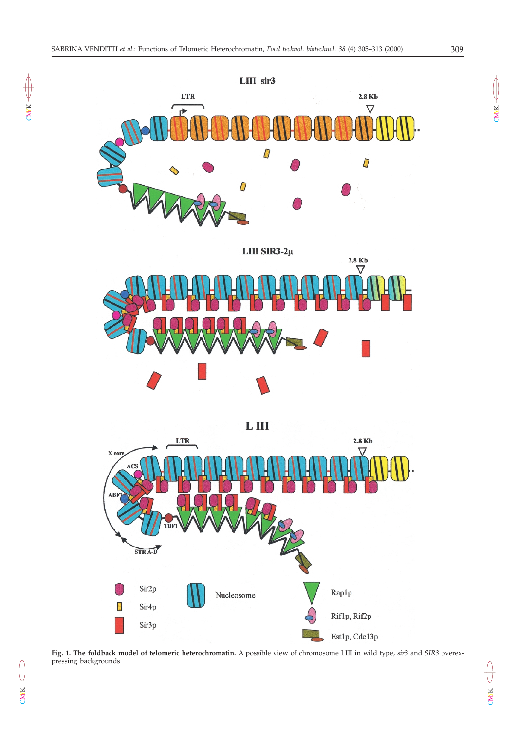



**Fig. 1. The foldback model of telomeric heterochromatin.** A possible view of chromosome LIII in wild type, *sir3* and *SIR3* overexpressing backgrounds

 $CMX \leftarrow$ 

 $CMN \leftarrow$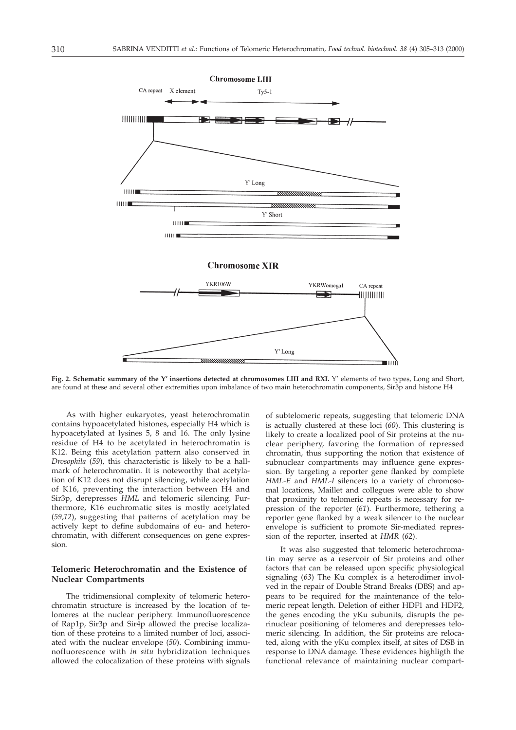

**Fig. 2. Schematic summary of the Y' insertions detected at chromosomes LIII and RXI.** Y' elements of two types, Long and Short, are found at these and several other extremities upon imbalance of two main heterochromatin components, Sir3p and histone H4

As with higher eukaryotes, yeast heterochromatin contains hypoacetylated histones, especially H4 which is hypoacetylated at lysines 5, 8 and 16. The only lysine residue of H4 to be acetylated in heterochromatin is K12. Being this acetylation pattern also conserved in *Drosophila* (*59*), this characteristic is likely to be a hallmark of heterochromatin. It is noteworthy that acetylation of K12 does not disrupt silencing, while acetylation of K16, preventing the interaction between H4 and Sir3p, derepresses *HML* and telomeric silencing. Furthermore, K16 euchromatic sites is mostly acetylated (*59*,*12*), suggesting that patterns of acetylation may be actively kept to define subdomains of eu- and heterochromatin, with different consequences on gene expression.

# **Telomeric Heterochromatin and the Existence of Nuclear Compartments**

The tridimensional complexity of telomeric heterochromatin structure is increased by the location of telomeres at the nuclear periphery. Immunofluorescence of Rap1p, Sir3p and Sir4p allowed the precise localization of these proteins to a limited number of loci, associated with the nuclear envelope (*50*). Combining immunofluorescence with *in situ* hybridization techniques allowed the colocalization of these proteins with signals

of subtelomeric repeats, suggesting that telomeric DNA is actually clustered at these loci (*60*). This clustering is likely to create a localized pool of Sir proteins at the nuclear periphery, favoring the formation of repressed chromatin, thus supporting the notion that existence of subnuclear compartments may influence gene expression. By targeting a reporter gene flanked by complete *HML-E* and *HML-I* silencers to a variety of chromosomal locations, Maillet and collegues were able to show that proximity to telomeric repeats is necessary for repression of the reporter (*61*). Furthermore, tethering a reporter gene flanked by a weak silencer to the nuclear envelope is sufficient to promote Sir-mediated repression of the reporter, inserted at *HMR* (*62*).

It was also suggested that telomeric heterochromatin may serve as a reservoir of Sir proteins and other factors that can be released upon specific physiological signaling (*63*) The Ku complex is a heterodimer involved in the repair of Double Strand Breaks (DBS) and appears to be required for the maintenance of the telomeric repeat length. Deletion of either HDF1 and HDF2, the genes encoding the yKu subunits, disrupts the perinuclear positioning of telomeres and derepresses telomeric silencing. In addition, the Sir proteins are relocated, along with the yKu complex itself, at sites of DSB in response to DNA damage. These evidences highligth the functional relevance of maintaining nuclear compart-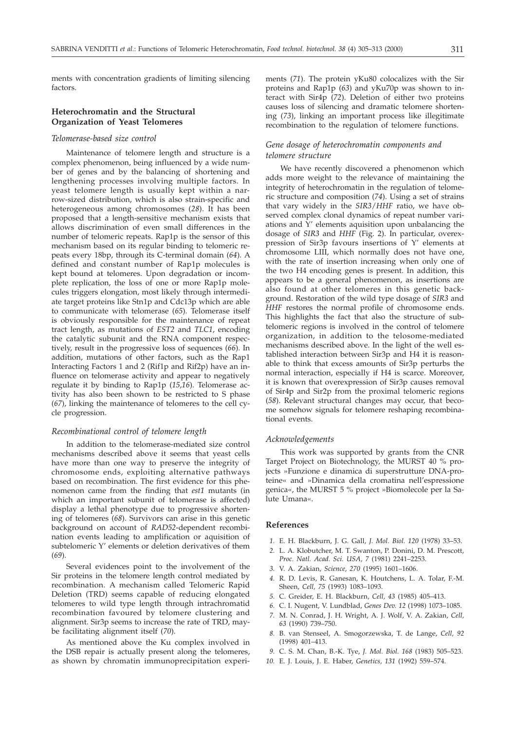ments with concentration gradients of limiting silencing factors.

# **Heterochromatin and the Structural Organization of Yeast Telomeres**

#### *Telomerase-based size control*

Maintenance of telomere length and structure is a complex phenomenon, being influenced by a wide number of genes and by the balancing of shortening and lengthening processes involving multiple factors. In yeast telomere length is usually kept within a narrow-sized distribution, which is also strain-specific and heterogeneous among chromosomes (*28*). It has been proposed that a length-sensitive mechanism exists that allows discrimination of even small differences in the number of telomeric repeats. Rap1p is the sensor of this mechanism based on its regular binding to telomeric repeats every 18bp, through its C-terminal domain (*64*). A defined and constant number of Rap1p molecules is kept bound at telomeres. Upon degradation or incomplete replication, the loss of one or more Rap1p molecules triggers elongation, most likely through intermediate target proteins like Stn1p and Cdc13p which are able to communicate with telomerase (*65*). Telomerase itself is obviously responsible for the maintenance of repeat tract length, as mutations of *EST2* and *TLC1*, encoding the catalytic subunit and the RNA component respectively, result in the progressive loss of sequences (*66*). In addition, mutations of other factors, such as the Rap1 Interacting Factors 1 and 2 (Rif1p and Rif2p) have an influence on telomerase activity and appear to negatively regulate it by binding to Rap1p (*15*,*16*). Telomerase activity has also been shown to be restricted to S phase (*67*), linking the maintenance of telomeres to the cell cycle progression.

#### *Recombinational control of telomere length*

In addition to the telomerase-mediated size control mechanisms described above it seems that yeast cells have more than one way to preserve the integrity of chromosome ends, exploiting alternative pathways based on recombination. The first evidence for this phenomenon came from the finding that *est1* mutants (in which an important subunit of telomerase is affected) display a lethal phenotype due to progressive shortening of telomeres (*68*). Survivors can arise in this genetic background on account of *RAD52*-dependent recombination events leading to amplification or aquisition of subtelomeric Y' elements or deletion derivatives of them (*69*).

Several evidences point to the involvement of the Sir proteins in the telomere length control mediated by recombination. A mechanism called Telomeric Rapid Deletion (TRD) seems capable of reducing elongated telomeres to wild type length through intrachromatid recombination favoured by telomere clustering and alignment. Sir3p seems to increase the rate of TRD, maybe facilitating alignment itself (*70*).

As mentioned above the Ku complex involved in the DSB repair is actually present along the telomeres, as shown by chromatin immunoprecipitation experiments (*71*). The protein yKu80 colocalizes with the Sir proteins and Rap1p (*63*) and yKu70p was shown to interact with Sir4p (*72*). Deletion of either two proteins causes loss of silencing and dramatic telomere shortening (*73*), linking an important process like illegitimate recombination to the regulation of telomere functions.

# *Gene dosage of heterochromatin components and telomere structure*

We have recently discovered a phenomenon which adds more weight to the relevance of maintaining the integrity of heterochromatin in the regulation of telomeric structure and composition (*74*). Using a set of strains that vary widely in the *SIR3*/*HHF* ratio, we have observed complex clonal dynamics of repeat number variations and  $\hat{Y}'$  elements aquisition upon unbalancing the dosage of *SIR3* and *HHF* (Fig. 2). In particular, overexpression of Sir3p favours insertions of Y' elements at chromosome LIII, which normally does not have one, with the rate of insertion increasing when only one of the two H4 encoding genes is present. In addition, this appears to be a general phenomenon, as insertions are also found at other telomeres in this genetic background. Restoration of the wild type dosage of *SIR3* and *HHF* restores the normal profile of chromosome ends. This highlights the fact that also the structure of subtelomeric regions is involved in the control of telomere organization, in addition to the telosome-mediated mechanisms described above. In the light of the well established interaction between Sir3p and H4 it is reasonable to think that excess amounts of Sir3p perturbs the normal interaction, especially if H4 is scarce. Moreover, it is known that overexpression of Sir3p causes removal of Sir4p and Sir2p from the proximal telomeric regions (*58*). Relevant structural changes may occur, that become somehow signals for telomere reshaping recombinational events.

#### *Acknowledgements*

This work was supported by grants from the CNR Target Project on Biotechnology, the MURST 40 % projects »Funzione e dinamica di superstrutture DNA-proteine« and »Dinamica della cromatina nell'espressione genica«, the MURST 5 % project »Biomolecole per la Salute Umana«.

#### **References**

- *1.* E. H. Blackburn, J. G. Gall, *J. Mol. Biol. 120* (1978) 33–53.
- *2.* L. A. Klobutcher, M. T. Swanton, P. Donini, D. M. Prescott, *Proc. Natl. Acad. Sci. USA, 7* (1981) 2241–2253.
- *3.* V. A. Zakian, *Science, 270* (1995) 1601–1606.
- *4.* R. D. Levis, R. Ganesan, K. Houtchens, L. A. Tolar, F.-M. Sheen, *Cell, 75* (1993) 1083–1093.
- *5.* C. Greider, E. H. Blackburn, *Cell, 43* (1985) 405–413.
- *6.* C. I. Nugent, V. Lundblad, *Genes Dev. 12* (1998) 1073–1085. *7.* M. N. Conrad, J. H. Wright, A. J. Wolf, V. A. Zakian, *Cell,*
- *63* (1990) 739–750. *8.* B. van Stenseel, A. Smogorzewska, T. de Lange, *Cell, 92* (1998) 401–413.
- *9.* C. S. M. Chan, B.-K. Tye, *J. Mol. Biol. 168* (1983) 505–523.
- *10.* E. J. Louis, J. E. Haber, *Genetics, 131* (1992) 559–574.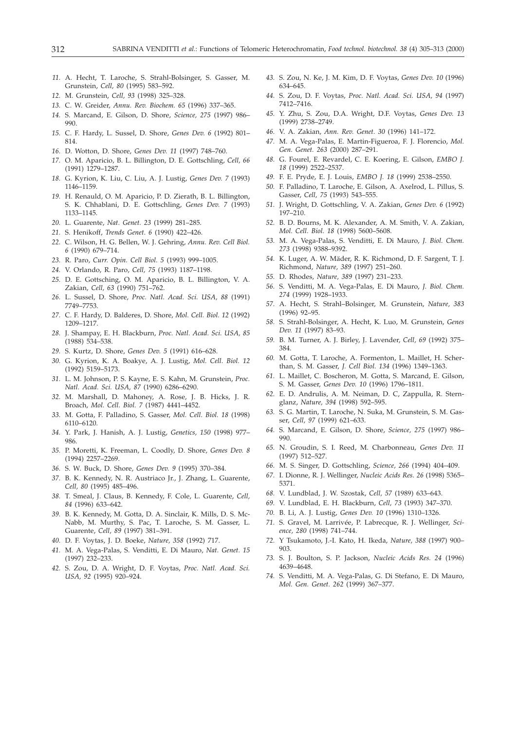- *11.* A. Hecht, T. Laroche, S. Strahl-Bolsinger, S. Gasser, M. Grunstein, *Cell, 80* (1995) 583–592.
- *12.* M. Grunstein, *Cell, 93* (1998) 325–328.
- *13.* C. W. Greider, *Annu. Rev. Biochem. 65* (1996) 337–365.
- *14.* S. Marcand, E. Gilson, D. Shore, *Science, 275* (1997) 986– 990.
- *15.* C. F. Hardy, L. Sussel, D. Shore, *Genes Dev. 6* (1992) 801– 814.
- *16.* D. Wotton, D. Shore, *Genes Dev. 11* (1997) 748–760.
- *17.* O. M. Aparicio, B. L. Billington, D. E. Gottschling, *Cell, 66* (1991) 1279–1287.
- *18.* G. Kyrion, K. Liu, C. Liu, A. J. Lustig, *Genes Dev. 7* (1993) 1146–1159.
- *19.* H. Renauld, O. M. Aparicio, P. D. Zierath, B. L. Billington, S. K. Chhablani, D. E. Gottschling, *Genes Dev. 7* (1993) 1133–1145.
- *20.* L. Guarente, *Nat. Genet. 23* (1999) 281–285.
- *21.* S. Henikoff, *Trends Genet. 6* (1990) 422–426.
- *22.* C. Wilson, H. G. Bellen, W. J. Gehring, *Annu. Rev. Cell Biol. 6* (1990) 679–714.
- *23.* R. Paro, *Curr. Opin. Cell Biol. 5* (1993) 999–1005.
- *24.* V. Orlando, R. Paro, *Cell, 75* (1993) 1187–1198.
- *25.* D. E. Gottsching, O. M. Aparicio, B. L. Billington, V. A. Zakian, *Cell, 63* (1990) 751–762.
- *26.* L. Sussel, D. Shore, *Proc. Natl. Acad. Sci. USA, 88* (1991) 7749–7753.
- *27.* C. F. Hardy, D. Balderes, D. Shore, *Mol. Cell. Biol. 12* (1992) 1209–1217.
- *28.* J. Shampay, E. H. Blackburn, *Proc. Natl. Acad. Sci. USA, 85* (1988) 534–538.
- *29.* S. Kurtz, D. Shore, *Genes Dev. 5* (1991) 616–628.
- *30.* G. Kyrion, K. A. Boakye, A. J. Lustig, *Mol. Cell. Biol. 12* (1992) 5159–5173.
- *31.* L. M. Johnson, P. S. Kayne, E. S. Kahn, M. Grunstein, *Proc. Natl. Acad. Sci. USA, 87* (1990) 6286–6290.
- *32.* M. Marshall, D. Mahoney, A. Rose, J. B. Hicks, J. R. Broach, *Mol. Cell. Biol. 7* (1987) 4441–4452.
- *33.* M. Gotta, F. Palladino, S. Gasser, *Mol. Cell. Biol. 18* (1998) 6110–6120.
- *34.* Y. Park, J. Hanish, A. J. Lustig, *Genetics, 150* (1998) 977– 986.
- *35.* P. Moretti, K. Freeman, L. Coodly, D. Shore, *Genes Dev. 8* (1994) 2257–2269.
- *36.* S. W. Buck, D. Shore, *Genes Dev. 9* (1995) 370–384.
- *37.* B. K. Kennedy, N. R. Austriaco Jr., J. Zhang, L. Guarente, *Cell, 80* (1995) 485–496.
- *38.* T. Smeal, J. Claus, B. Kennedy, F. Cole, L. Guarente, *Cell, 84* (1996) 633–642.
- *39.* B. K. Kennedy, M. Gotta, D. A. Sinclair, K. Mills, D. S. Mc-Nabb, M. Murthy, S. Pac, T. Laroche, S. M. Gasser, L. Guarente, *Cell, 89* (1997) 381–391.
- *40.* D. F. Voytas, J. D. Boeke, *Nature, 358* (1992) 717.
- *41.* M. A. Vega-Palas, S. Venditti, E. Di Mauro, *Nat. Genet. 15* (1997) 232–233.
- *42.* S. Zou, D. A. Wright, D. F. Voytas, *Proc. Natl. Acad. Sci. USA, 92* (1995) 920–924.
- *43.* S. Zou, N. Ke, J. M. Kim, D. F. Voytas, *Genes Dev. 10* (1996) 634–645.
- *44.* S. Zou, D. F. Voytas, *Proc. Natl. Acad. Sci. USA, 94* (1997) 7412–7416.
- *45.* Y. Zhu, S. Zou, D.A. Wright, D.F. Voytas, *Genes Dev. 13* (1999) 2738–2749.
- *46.* V. A. Zakian, *Ann. Rev. Genet. 30* (1996) 141–172.
- *47.* M. A. Vega-Palas, E. Martin-Figueroa, F. J. Florencio, *Mol. Gen. Genet. 263* (2000) 287–291.
- *48.* G. Fourel, E. Revardel, C. E. Koering, E. Gilson, *EMBO J. 18* (1999) 2522–2537.
- *49.* F. E. Pryde, E. J. Louis, *EMBO J. 18* (1999) 2538–2550.
- *50.* F. Palladino, T. Laroche, E. Gilson, A. Axelrod, L. Pillus, S. Gasser, *Cell, 75* (1993) 543–555.
- *51.* J. Wright, D. Gottschling, V. A. Zakian, *Genes Dev. 6* (1992) 197–210.
- *52.* B. D. Bourns, M. K. Alexander, A. M. Smith, V. A. Zakian, *Mol. Cell. Biol. 18* (1998) 5600–5608.
- *53.* M. A. Vega-Palas, S. Venditti, E. Di Mauro, *J. Biol. Chem. 273* (1998) 9388–9392.
- *54.* K. Luger, A. W. Mäder, R. K. Richmond, D. F. Sargent, T. J. Richmond, *Nature, 389* (1997) 251–260.
- *55.* D. Rhodes, *Nature, 389* (1997) 231–233.
- *56.* S. Venditti, M. A. Vega-Palas, E. Di Mauro, *J. Biol. Chem. 274* (1999) 1928–1933.
- *57.* A. Hecht, S. Strahl–Bolsinger, M. Grunstein, *Nature, 383* (1996) 92–95.
- *58.* S. Strahl-Bolsinger, A. Hecht, K. Luo, M. Grunstein, *Genes Dev. 11* (1997) 83–93.
- *59.* B. M. Turner, A. J. Birley, J. Lavender, *Cell, 69* (1992) 375– 384.
- *60.* M. Gotta, T. Laroche, A. Formenton, L. Maillet, H. Scherthan, S. M. Gasser, *J. Cell Biol. 134* (1996) 1349–1363.
- *61.* L. Maillet, C. Boscheron, M. Gotta, S. Marcand, E. Gilson, S. M. Gasser, *Genes Dev. 10* (1996) 1796–1811.
- *62.* E. D. Andrulis, A. M. Neiman, D. C, Zappulla, R. Sternglanz, *Nature, 394* (1998) 592–595.
- *63.* S. G. Martin, T. Laroche, N. Suka, M. Grunstein, S. M. Gasser, *Cell, 97* (1999) 621–633.
- *64.* S. Marcand, E. Gilson, D. Shore, *Science, 275* (1997) 986– 990.
- *65.* N. Groudin, S. I. Reed, M. Charbonneau, *Genes Dev. 11* (1997) 512–527.
- *66.* M. S. Singer, D. Gottschling, *Science, 266* (1994) 404–409.
- *67.* I. Dionne, R. J. Wellinger, *Nucleic Acids Res. 26* (1998) 5365– 5371.
- *68.* V. Lundblad, J. W. Szostak, *Cell, 57* (1989) 633–643.
- *69.* V. Lundblad, E. H. Blackburn, *Cell, 73* (1993) 347–370.
- *70.* B. Li, A. J. Lustig, *Genes Dev. 10* (1996) 1310–1326.
- *71.* S. Gravel, M. Larrivée, P. Labrecque, R. J. Wellinger, *Science, 280* (1998) 741–744.
- *72.* Y Tsukamoto, J.-I. Kato, H. Ikeda, *Nature, 388* (1997) 900– 903.
- *73.* S. J. Boulton, S. P. Jackson, *Nucleic Acids Res. 24* (1996) 4639–4648.
- *74.* S. Venditti, M. A. Vega-Palas, G. Di Stefano, E. Di Mauro, *Mol. Gen. Genet. 262* (1999) 367–377.